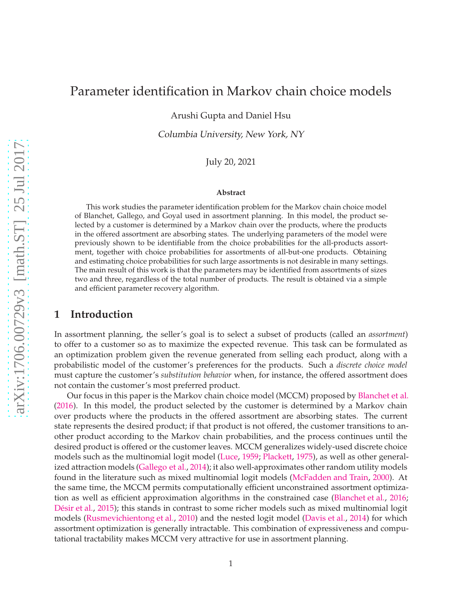## Parameter identification in Markov chain choice models

Arushi Gupta and Daniel Hsu

Columbia University, New York, NY

July 20, 2021

#### **Abstract**

This work studies the parameter identification problem for the Markov chain choice model of Blanchet, Gallego, and Goyal used in assortment planning. In this model, the product selected by a customer is determined by a Markov chain over the products, where the products in the offered assortment are absorbing states. The underlying parameters of the model were previously shown to be identifiable from the choice probabilities for the all-products assortment, together with choice probabilities for assortments of all-but-one products. Obtaining and estimating choice probabilities for such large assortments is not desirable in many settings. The main result of this work is that the parameters may be identified from assortments of sizes two and three, regardless of the total number of products. The result is obtained via a simple and efficient parameter recovery algorithm.

### **1 Introduction**

In assortment planning, the seller's goal is to select a subset of products (called an *assortment*) to offer to a customer so as to maximize the expected revenue. This task can be formulated as an optimization problem given the revenue generated from selling each product, along with a probabilistic model of the customer's preferences for the products. Such a *discrete choice model* must capture the customer's *substitution behavior* when, for instance, the offered assortment does not contain the customer's most preferred product.

Our focus in this paper is the Markov chain choice model (MCCM) proposed by [Blanchet et al.](#page-9-0) [\(2016](#page-9-0)). In this model, the product selected by the customer is determined by a Markov chain over products where the products in the offered assortment are absorbing states. The current state represents the desired product; if that product is not offered, the customer transitions to another product according to the Markov chain probabilities, and the process continues until the desired product is offered or the customer leaves. MCCM generalizes widely-used discrete choice models such as the multinomial logit model [\(Luce](#page-9-1), [1959;](#page-9-1) [Plackett](#page-9-2), [1975](#page-9-2)), as well as other generalized attraction models [\(Gallego et al.](#page-9-3), [2014\)](#page-9-3); it also well-approximates other random utility models found in the literature such as mixed multinomial logit models [\(McFadden and Train](#page-9-4), [2000](#page-9-4)). At the same time, the MCCM permits computationally efficient unconstrained assortment optimization as well as efficient approximation algorithms in the constrained case [\(Blanchet et al.](#page-9-0), [2016](#page-9-0); [Désir et al.](#page-9-5), [2015](#page-9-5)); this stands in contrast to some richer models such as mixed multinomial logit models [\(Rusmevichientong et al.](#page-9-6), [2010](#page-9-6)) and the nested logit model [\(Davis et al.,](#page-9-7) [2014\)](#page-9-7) for which assortment optimization is generally intractable. This combination of expressiveness and computational tractability makes MCCM very attractive for use in assortment planning.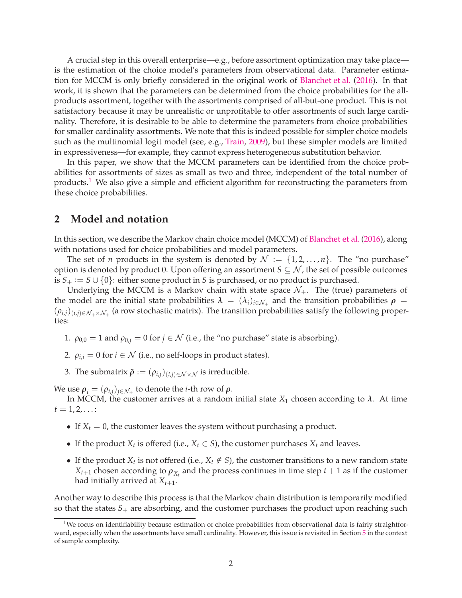A crucial step in this overall enterprise—e.g., before assortment optimization may take place is the estimation of the choice model's parameters from observational data. Parameter estimation for MCCM is only briefly considered in the original work of [Blanchet et al.](#page-9-0) [\(2016](#page-9-0)). In that work, it is shown that the parameters can be determined from the choice probabilities for the allproducts assortment, together with the assortments comprised of all-but-one product. This is not satisfactory because it may be unrealistic or unprofitable to offer assortments of such large cardinality. Therefore, it is desirable to be able to determine the parameters from choice probabilities for smaller cardinality assortments. We note that this is indeed possible for simpler choice models such as the multinomial logit model (see, e.g., [Train,](#page-9-8) [2009](#page-9-8)), but these simpler models are limited in expressiveness—for example, they cannot express heterogeneous substitution behavior.

In this paper, we show that the MCCM parameters can be identified from the choice probabilities for assortments of sizes as small as two and three, independent of the total number of products.<sup>[1](#page-1-0)</sup> We also give a simple and efficient algorithm for reconstructing the parameters from these choice probabilities.

## **2 Model and notation**

In this section, we describe the Markov chain choice model (MCCM) of [Blanchet et al.](#page-9-0) [\(2016](#page-9-0)), along with notations used for choice probabilities and model parameters.

The set of *n* products in the system is denoted by  $\mathcal{N} := \{1, 2, ..., n\}$ . The "no purchase" option is denoted by product 0. Upon offering an assortment  $S \subseteq \mathcal{N}$ , the set of possible outcomes is *S*<sub>+</sub> := *S* ∪ {0}: either some product in *S* is purchased, or no product is purchased.

Underlying the MCCM is a Markov chain with state space  $\mathcal{N}_+$ . The (true) parameters of the model are the initial state probabilities  $\lambda = (\lambda_i)_{i \in \mathcal{N}_+}$  and the transition probabilities  $\rho =$  $(\rho_{i,j})_{(i,j)\in\mathcal{N}_+\times\mathcal{N}_+}$  (a row stochastic matrix). The transition probabilities satisfy the following properties:

- 1.  $\rho_{0,0} = 1$  and  $\rho_{0,j} = 0$  for  $j \in \mathcal{N}$  (i.e., the "no purchase" state is absorbing).
- 2.  $\rho_{i,i} = 0$  for  $i \in \mathcal{N}$  (i.e., no self-loops in product states).
- 3. The submatrix  $\tilde{\rho} := (\rho_{i,j})_{(i,j) \in \mathcal{N} \times \mathcal{N}}$  is irreducible.

We use  $\rho_i = (\rho_{i,j})_{j \in \mathcal{N}_+}$  to denote the *i*-th row of  $\rho$ .

In MCCM, the customer arrives at a random initial state  $X_1$  chosen according to  $\lambda$ . At time  $t = 1, 2, \ldots$ :

- If  $X_t = 0$ , the customer leaves the system without purchasing a product.
- If the product  $X_t$  is offered (i.e.,  $X_t \in S$ ), the customer purchases  $X_t$  and leaves.
- If the product  $X_t$  is not offered (i.e.,  $X_t \notin S$ ), the customer transitions to a new random state  $X_{t+1}$  chosen according to  $\rho_{X_t}$  and the process continues in time step  $t+1$  as if the customer had initially arrived at  $X_{t+1}$ .

Another way to describe this process is that the Markov chain distribution is temporarily modified so that the states *S*+ are absorbing, and the customer purchases the product upon reaching such

<span id="page-1-0"></span><sup>&</sup>lt;sup>1</sup>We focus on identifiability because estimation of choice probabilities from observational data is fairly straightforward, especially when the assortments have small cardinality. However, this issue is revisited in Section [5](#page-8-0) in the context of sample complexity.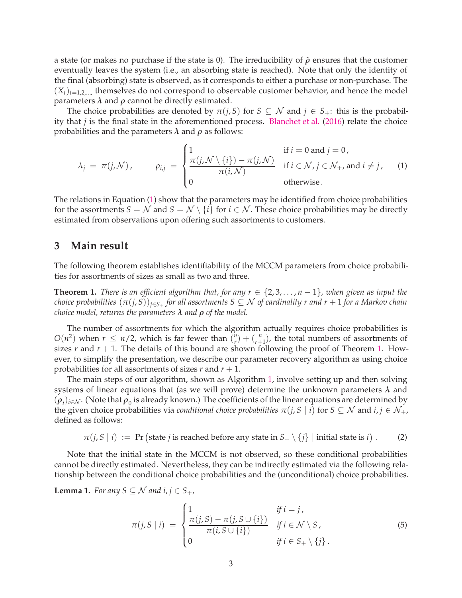a state (or makes no purchase if the state is 0). The irreducibility of ˜*ρ* ensures that the customer eventually leaves the system (i.e., an absorbing state is reached). Note that only the identity of the final (absorbing) state is observed, as it corresponds to either a purchase or non-purchase. The  $(X_t)_{t=1,2,...}$ , themselves do not correspond to observable customer behavior, and hence the model parameters  $λ$  and  $ρ$  cannot be directly estimated.

The choice probabilities are denoted by  $\pi(j, S)$  for  $S \subseteq \mathcal{N}$  and  $j \in S_+$ : this is the probability that *j* is the final state in the aforementioned process. [Blanchet et al.](#page-9-0) [\(2016](#page-9-0)) relate the choice probabilities and the parameters  $\lambda$  and  $\rho$  as follows:

<span id="page-2-0"></span>
$$
\lambda_j = \pi(j,\mathcal{N}), \qquad \rho_{i,j} = \begin{cases} 1 & \text{if } i = 0 \text{ and } j = 0, \\ \frac{\pi(j,\mathcal{N} \setminus \{i\}) - \pi(j,\mathcal{N})}{\pi(i,\mathcal{N})} & \text{if } i \in \mathcal{N}, j \in \mathcal{N}_+, \text{ and } i \neq j, \\ 0 & \text{otherwise.} \end{cases}
$$
 (1)

The relations in Equation [\(1\)](#page-2-0) show that the parameters may be identified from choice probabilities for the assortments  $S = \mathcal{N}$  and  $S = \mathcal{N} \setminus \{i\}$  for  $i \in \mathcal{N}$ . These choice probabilities may be directly estimated from observations upon offering such assortments to customers.

## **3 Main result**

The following theorem establishes identifiability of the MCCM parameters from choice probabilities for assortments of sizes as small as two and three.

<span id="page-2-1"></span>**Theorem 1.** *There is an efficient algorithm that, for any*  $r \in \{2, 3, \ldots, n-1\}$ *, when given as input the choice probabilities* (*π*(*j*, *S*))*j*∈*S*<sup>+</sup> *for all assortments S* ⊆ N *of cardinality r and r* + 1 *for a Markov chain choice model, returns the parameters λ and ρ of the model.*

The number of assortments for which the algorithm actually requires choice probabilities is  $O(n^2)$  when  $r \leq n/2$ , which is far fewer than  $\binom{n}{r}$  $\binom{n}{r} + \binom{n}{r+1}$  $\binom{n}{r+1}$ , the total numbers of assortments of sizes  $r$  and  $r + 1$ . The details of this bound are shown following the proof of Theorem [1.](#page-2-1) However, to simplify the presentation, we describe our parameter recovery algorithm as using choice probabilities for all assortments of sizes  $r$  and  $r + 1$ .

The main steps of our algorithm, shown as Algorithm [1,](#page-3-0) involve setting up and then solving systems of linear equations that (as we will prove) determine the unknown parameters *λ* and  $(\rho_i)_{i\in\mathcal{N}}$  . (Note that  $\rho_0$  is already known.) The coefficients of the linear equations are determined by the given choice probabilities via *conditional choice probabilities*  $\pi(j, S | i)$  for  $S \subseteq \mathcal{N}$  and  $i, j \in \mathcal{N}_+$ , defined as follows:

 $\pi(j, S \mid i) := \Pr \big(\text{state } j \text{ is reached before any state in } S_+ \setminus \{j\} \mid \text{initial state is } i \big)$  $(2)$ 

Note that the initial state in the MCCM is not observed, so these conditional probabilities cannot be directly estimated. Nevertheless, they can be indirectly estimated via the following relationship between the conditional choice probabilities and the (unconditional) choice probabilities.

<span id="page-2-4"></span>**Lemma 1.** *For any*  $S \subseteq \mathcal{N}$  *and*  $i, j \in S_+$ *,* 

<span id="page-2-3"></span><span id="page-2-2"></span>
$$
\pi(j, S \mid i) = \begin{cases}\n1 & \text{if } i = j, \\
\frac{\pi(j, S) - \pi(j, S \cup \{i\})}{\pi(i, S \cup \{i\})} & \text{if } i \in \mathcal{N} \setminus S, \\
0 & \text{if } i \in S_+ \setminus \{j\}.\n\end{cases}
$$
\n(5)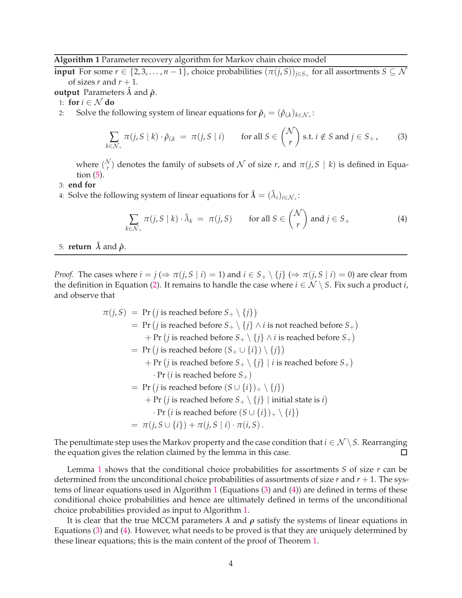#### <span id="page-3-0"></span>**Algorithm 1** Parameter recovery algorithm for Markov chain choice model

**input** For some  $r \in \{2, 3, \ldots, n-1\}$ , choice probabilities  $(\pi(j, S))_{j \in S_+}$  for all assortments  $S \subseteq \mathcal{N}$ of sizes  $r$  and  $r + 1$ .

**output** Parameters  $\lambda$  and  $\rho$ .

1: **for**  $i \in \mathcal{N}$  **do** 

2: Solve the following system of linear equations for  $\hat{\rho}_i = (\hat{\rho}_{i,k})_{k \in \mathcal{N}_+}$ :

$$
\sum_{k \in \mathcal{N}_+} \pi(j, S \mid k) \cdot \hat{\rho}_{i,k} = \pi(j, S \mid i) \quad \text{for all } S \in \binom{\mathcal{N}}{r} \text{ s.t. } i \notin S \text{ and } j \in S_+ \tag{3}
$$

where  $\binom{\mathcal{N}}{r}$  $\binom{v}{r}$  denotes the family of subsets of  $\mathcal N$  of size  $r$ , and  $\pi(j, S \mid k)$  is defined in Equation [\(5\)](#page-2-2).

3: **end for**

4: Solve the following system of linear equations for  $\hat{\lambda} = (\hat{\lambda}_i)_{i \in \mathcal{N}_+}$ :

<span id="page-3-2"></span><span id="page-3-1"></span>
$$
\sum_{k \in \mathcal{N}_+} \pi(j, S \mid k) \cdot \hat{\lambda}_k = \pi(j, S) \quad \text{for all } S \in \binom{\mathcal{N}}{r} \text{ and } j \in S_+ \tag{4}
$$

### 5: **return**  $\hat{\lambda}$  and  $\hat{\rho}$ .

*Proof.* The cases where  $i = j \implies \pi(j, S | i) = 1$  and  $i \in S_+ \setminus \{j\} \implies \pi(j, S | i) = 0$  are clear from the definition in Equation [\(2\)](#page-2-3). It remains to handle the case where  $i \in \mathcal{N} \setminus S$ . Fix such a product *i*, and observe that

$$
\pi(j, S) = \Pr(j \text{ is reached before } S_+ \setminus \{j\})
$$
\n
$$
= \Pr(j \text{ is reached before } S_+ \setminus \{j\} \land i \text{ is not reached before } S_+)
$$
\n
$$
+ \Pr(j \text{ is reached before } S_+ \setminus \{j\} \land i \text{ is reached before } S_+)
$$
\n
$$
= \Pr(j \text{ is reached before } (S_+ \cup \{i\}) \setminus \{j\})
$$
\n
$$
+ \Pr(j \text{ is reached before } S_+ \setminus \{j\} \mid i \text{ is reached before } S_+)
$$
\n
$$
\cdot \Pr(i \text{ is reached before } S_+)
$$
\n
$$
= \Pr(j \text{ is reached before } (S \cup \{i\})_+ \setminus \{j\})
$$
\n
$$
+ \Pr(j \text{ is reached before } S_+ \setminus \{j\} \mid \text{initial state is } i)
$$
\n
$$
\cdot \Pr(i \text{ is reached before } (S \cup \{i\})_+ \setminus \{i\})
$$
\n
$$
= \pi(j, S \cup \{i\}) + \pi(j, S \mid i) \cdot \pi(i, S).
$$

The penultimate step uses the Markov property and the case condition that  $i \in \mathcal{N} \setminus S$ . Rearranging the equation gives the relation claimed by the lemma in this case. □

Lemma [1](#page-2-4) shows that the conditional choice probabilities for assortments *S* of size *r* can be determined from the unconditional choice probabilities of assortments of size *r* and *r* + 1. The systems of linear equations used in Algorithm [1](#page-3-0) (Equations [\(3\)](#page-3-1) and [\(4\)](#page-3-2)) are defined in terms of these conditional choice probabilities and hence are ultimately defined in terms of the unconditional choice probabilities provided as input to Algorithm [1.](#page-3-0)

It is clear that the true MCCM parameters  $\lambda$  and  $\rho$  satisfy the systems of linear equations in Equations [\(3\)](#page-3-1) and [\(4\)](#page-3-2). However, what needs to be proved is that they are uniquely determined by these linear equations; this is the main content of the proof of Theorem [1.](#page-2-1)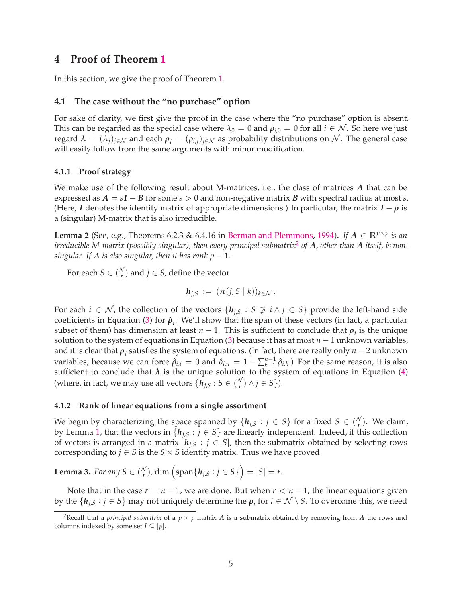## **4 Proof of Theorem [1](#page-2-1)**

In this section, we give the proof of Theorem [1.](#page-2-1)

### **4.1 The case without the "no purchase" option**

For sake of clarity, we first give the proof in the case where the "no purchase" option is absent. This can be regarded as the special case where  $\lambda_0 = 0$  and  $\rho_{i,0} = 0$  for all  $i \in \mathcal{N}$ . So here we just regard  $\lambda = (\lambda_j)_{j \in \mathcal{N}}$  and each  $\rho_i = (\rho_{i,j})_{j \in \mathcal{N}}$  as probability distributions on N. The general case will easily follow from the same arguments with minor modification.

#### **4.1.1 Proof strategy**

We make use of the following result about M-matrices, i.e., the class of matrices *A* that can be expressed as  $A = sI - B$  for some  $s > 0$  and non-negative matrix *B* with spectral radius at most *s*. (Here, *I* denotes the identity matrix of appropriate dimensions.) In particular, the matrix  $I - \rho$  is a (singular) M-matrix that is also irreducible.

<span id="page-4-1"></span>**Lemma 2** (See, e.g., Theorems 6.2.3 & 6.4.16 in [Berman and Plemmons,](#page-9-9) [1994\)](#page-9-9). *If*  $A \in \mathbb{R}^{p \times p}$  *is an irreducible M-matrix (possibly singular), then every principal submatrix*[2](#page-4-0) *of A, other than A itself, is nonsingular. If*  $\vec{A}$  *is also singular, then it has rank p*  $-1$ *.* 

For each  $S \in \binom{\mathcal{N}}{r}$  $r$ <sup>V</sup>) and  $j \in S$ , define the vector

$$
\mathbf{h}_{j,S} := (\pi(j,S \mid k))_{k \in \mathcal{N}}.
$$

For each  $i \in \mathcal{N}$ , the collection of the vectors  $\{h_{i,S} : S \not\ni i \land j \in S\}$  provide the left-hand side coefficients in Equation [\(3\)](#page-3-1) for  $\hat{\rho}_i$ . We'll show that the span of these vectors (in fact, a particular subset of them) has dimension at least  $n-1$ . This is sufficient to conclude that  $\rho_i$  is the unique solution to the system of equations in Equation [\(3\)](#page-3-1) because it has at most *n* − 1 unknown variables, and it is clear that  $\rho_i$  satisfies the system of equations. (In fact, there are really only *n* − 2 unknown variables, because we can force  $\hat{\rho}_{i,i} = 0$  and  $\hat{\rho}_{i,n} = 1 - \sum_{k=1}^{n-1}$  $\hat{p}_{k=1}^{n-1}$   $\hat{p}_{i,k}$ .) For the same reason, it is also sufficient to conclude that  $\lambda$  is the unique solution to the system of equations in Equation [\(4\)](#page-3-2) (where, in fact, we may use all vectors  $\{h_{j,S}: S \in \binom{N}{r}\}$  $\binom{v}{r} \wedge j \in S$ .

#### **4.1.2 Rank of linear equations from a single assortment**

We begin by characterizing the space spanned by  $\{h_{j,S}: j \in S\}$  for a fixed  $S \in \binom{N}{r}$  $r(\n)$ . We claim, by Lemma [1,](#page-2-4) that the vectors in  $\{h_{i,S} : j \in S\}$  are linearly independent. Indeed, if this collection of vectors is arranged in a matrix  $[h_{j,S}: j \in S]$ , then the submatrix obtained by selecting rows corresponding to  $j \in S$  is the  $S \times S$  identity matrix. Thus we have proved

<span id="page-4-2"></span>**Lemma 3.** *For any*  $S \in \binom{N}{r}$  $\binom{V}{r}$ , dim  $\left(\text{span}\{\pmb{h}_{j,S}:j\in S\}\right)=|S|=r.$ 

Note that in the case  $r = n - 1$ , we are done. But when  $r < n - 1$ , the linear equations given by the  $\{h_{j,S} : j \in S\}$  may not uniquely determine the  $\rho_i$  for  $i \in \mathcal{N} \setminus S$ . To overcome this, we need

<span id="page-4-0"></span><sup>&</sup>lt;sup>2</sup>Recall that a *principal submatrix* of a  $p \times p$  matrix *A* is a submatrix obtained by removing from *A* the rows and columns indexed by some set  $I \subseteq [p]$ .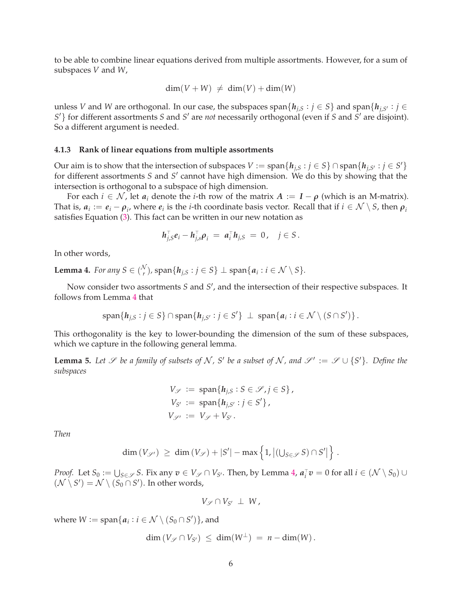to be able to combine linear equations derived from multiple assortments. However, for a sum of subspaces *V* and *W*,

$$
\dim(V + W) \neq \dim(V) + \dim(W)
$$

unless *V* and *W* are orthogonal. In our case, the subspaces span $\{h_{j,S} : j \in S\}$  and span $\{h_{j,S'} : j \in S\}$ *S* ′} for different assortments *S* and *S* ′ are *not* necessarily orthogonal (even if *S* and *S* ′ are disjoint). So a different argument is needed.

#### **4.1.3 Rank of linear equations from multiple assortments**

Our aim is to show that the intersection of subspaces  $V := \text{span}\{h_{j,S} : j \in S\} \cap \text{span}\{h_{j,S'} : j \in S'\}$ for different assortments *S* and *S* ′ cannot have high dimension. We do this by showing that the intersection is orthogonal to a subspace of high dimension.

For each  $i \in \mathcal{N}$ , let  $a_i$  denote the *i*-th row of the matrix  $A := I - \rho$  (which is an M-matrix). That is,  $a_i := e_i - \rho_i$ , where  $e_i$  is the *i*-th coordinate basis vector. Recall that if  $i \in \mathcal{N} \setminus S$ , then  $\rho_i$ satisfies Equation [\(3\)](#page-3-1). This fact can be written in our new notation as

$$
h_{j,S}^{\top}e_i - h_{j,S}^{\top} \rho_i = a_i^{\top} h_{j,S} = 0, \quad j \in S.
$$

In other words,

<span id="page-5-0"></span>**Lemma 4.** *For any*  $S \in \binom{N}{r}$  $\bigcup_{r}^{V}$ ), span $\{h_{j,S}:j\in S\} \perp {\rm span}\{a_{i}:i\in \mathcal{N}\setminus S\}.$ 

Now consider two assortments *S* and *S'*, and the intersection of their respective subspaces. It follows from Lemma [4](#page-5-0) that

$$
\text{span}\{h_{j,S}:j\in S\}\cap\text{span}\{h_{j,S'}:j\in S'\}\perp\text{span}\{a_i:i\in\mathcal{N}\setminus(S\cap S')\}\,.
$$

This orthogonality is the key to lower-bounding the dimension of the sum of these subspaces, which we capture in the following general lemma.

<span id="page-5-1"></span>**Lemma 5.** Let *S* be a family of subsets of N, S' be a subset of N, and  $\mathscr{S}' := \mathscr{S} \cup \{S'\}$ . Define the *subspaces*

$$
V_{\mathscr{S}} := \text{span}\{h_{j,S} : S \in \mathscr{S}, j \in S\},
$$
  
\n
$$
V_{S'} := \text{span}\{h_{j,S'} : j \in S'\},
$$
  
\n
$$
V_{\mathscr{S}'} := V_{\mathscr{S}} + V_{S'}.
$$

*Then*

$$
\dim(V_{\mathscr{S}'}) \geq \dim(V_{\mathscr{S}}) + |S'| - \max\left\{1, \left|(\bigcup_{S \in \mathscr{S}} S) \cap S'\right|\right\}
$$

.

*Proof.* Let  $S_0 := \bigcup_{S \in \mathscr{S}} S$ . Fix any  $v \in V_{\mathscr{S}} \cap V_{S'}$ . Then, by Lemma [4,](#page-5-0)  $a_i^{\top} v = 0$  for all  $i \in (\mathcal{N} \setminus S_0) \cup$  $(\mathcal{N} \setminus S') = \mathcal{N} \setminus (S_0 \cap S')$ . In other words,

$$
V_{\mathscr{S}}\cap V_{S'}\perp W,
$$

where  $W := \text{span}\{a_i : i \in \mathcal{N} \setminus (S_0 \cap S')\}$ , and

$$
\dim (V_{\mathscr{S}} \cap V_{S'}) \leq \dim (W^{\perp}) = n - \dim(W).
$$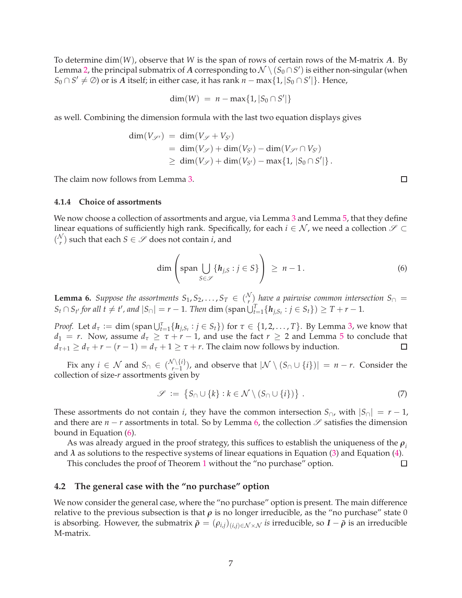To determine dim(*W*), observe that *W* is the span of rows of certain rows of the M-matrix *A*. By Lemma [2,](#page-4-1) the principal submatrix of  $A$  corresponding to  $\mathcal{N} \setminus (S_0 \cap S')$  is either non-singular (when *S*<sub>0</sub> ∩ *S'*  $\neq$  ⊘) or is *A* itself; in either case, it has rank *n* − max{1, |*S*<sub>0</sub> ∩ *S'*|}. Hence,

$$
\dim(W) = n - \max\{1, |S_0 \cap S'|\}
$$

as well. Combining the dimension formula with the last two equation displays gives

$$
\dim(V_{\mathscr{S}'}) = \dim(V_{\mathscr{S}} + V_{S'})
$$
  
= 
$$
\dim(V_{\mathscr{S}}) + \dim(V_{S'}) - \dim(V_{\mathscr{S}'} \cap V_{S'})
$$
  

$$
\geq \dim(V_{\mathscr{S}}) + \dim(V_{S'}) - \max\{1, |S_0 \cap S'|\}.
$$

<span id="page-6-3"></span>The claim now follows from Lemma [3.](#page-4-2)

#### **4.1.4 Choice of assortments**

We now choose a collection of assortments and argue, via Lemma [3](#page-4-2) and Lemma [5,](#page-5-1) that they define linear equations of sufficiently high rank. Specifically, for each  $i \in \mathcal{N}$ , we need a collection  $\mathscr{S} \subset$  $\binom{\mathcal{N}}{r}$  $\binom{V}{r}$  such that each  $S \in \mathscr{S}$  does not contain *i*, and

$$
\dim\left(\operatorname{span}\bigcup_{S\in\mathscr{S}}\{h_{j,S}:j\in S\}\right) \geq n-1. \tag{6}
$$

<span id="page-6-0"></span>**Lemma 6.** *Suppose the assortments*  $S_1, S_2, \ldots, S_T \in \binom{N}{r}$ *r* ) *have a pairwise common intersection S*<sup>∩</sup> =  $S_t \cap S_{t'}$  for all  $t \neq t'$ , and  $|S_{\cap}| = r - 1$ . Then  $\dim (\text{span} \bigcup_{t=1}^T \{h_{j,S_t} : j \in S_t\}) \geq T + r - 1$ .

*Proof.* Let  $d_{\tau} := \dim (\text{span} \bigcup_{t=1}^{\tau} \{h_{j,S_t} : j \in S_t\})$  for  $\tau \in \{1, 2, ..., T\}$ . By Lemma [3,](#page-4-2) we know that *d*<sub>1</sub> = *r*. Now, assume  $d_{\tau} \ge \tau + r - 1$ , and use the fact  $r \ge 2$  and Lemma [5](#page-5-1) to conclude that  $d_{\tau+1} \geq d_{\tau} + r - (r - 1) = d_{\tau} + 1 \geq \tau + r$ . The claim now follows by induction.  $\Box$ 

Fix any  $i \in \mathcal{N}$  and  $S_{\cap} \in {\binom{\mathcal{N} \setminus \{i\}}{r-1}}$  $\binom{1}{r-1}$ , and observe that  $|\mathcal{N} \setminus (S \cap \cup \{i\})| = n - r$ . Consider the collection of size-*r* assortments given by

<span id="page-6-2"></span>
$$
\mathscr{S} := \{ S_{\cap} \cup \{k\} : k \in \mathcal{N} \setminus (S_{\cap} \cup \{i\}) \} . \tag{7}
$$

These assortments do not contain *i*, they have the common intersection  $S_{\cap}$ , with  $|S_{\cap}| = r - 1$ , and there are  $n - r$  assortments in total. So by Lemma [6,](#page-6-0) the collection  $\mathscr S$  satisfies the dimension bound in Equation [\(6\)](#page-6-1).

As was already argued in the proof strategy, this suffices to establish the uniqueness of the *ρ<sup>i</sup>* and  $\lambda$  as solutions to the respective systems of linear equations in Equation [\(3\)](#page-3-1) and Equation [\(4\)](#page-3-2).

This concludes the proof of Theorem [1](#page-2-1) without the "no purchase" option.

#### **4.2 The general case with the "no purchase" option**

We now consider the general case, where the "no purchase" option is present. The main difference relative to the previous subsection is that  $\rho$  is no longer irreducible, as the "no purchase" state 0 is absorbing. However, the submatrix  $\tilde{\rho} = (\rho_{i,j})_{(i,j) \in \mathcal{N} \times \mathcal{N}}$  *is* irreducible, so  $I - \tilde{\rho}$  is an irreducible M-matrix.

<span id="page-6-1"></span> $\Box$ 

 $\Box$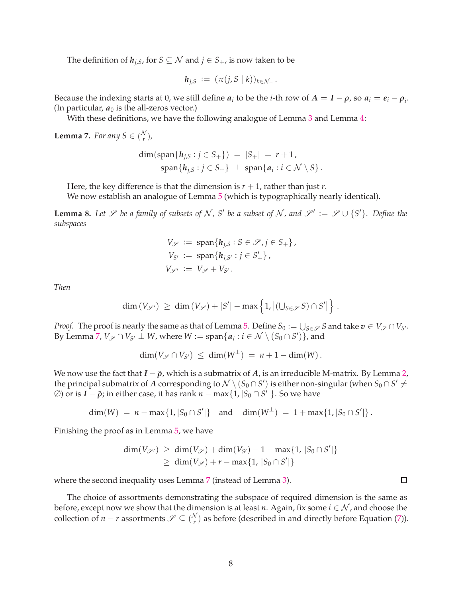The definition of  $h_{i,S}$ , for  $S \subseteq \mathcal{N}$  and  $j \in S_+$ , is now taken to be

$$
h_{j,S} := (\pi(j,S \mid k))_{k \in \mathcal{N}_+}.
$$

Because the indexing starts at 0, we still define  $a_i$  to be the *i*-th row of  $A = I - \rho$ , so  $a_i = e_i - \rho_i$ . (In particular,  $a_0$  is the all-zeros vector.)

With these definitions, we have the following analogue of Lemma [3](#page-4-2) and Lemma [4:](#page-5-0)

<span id="page-7-0"></span>**Lemma 7.** *For any*  $S \in \binom{N}{r}$ *r* )*,*

$$
\dim(\text{span}\{h_{j,S}:j\in S_+\}) = |S_+| = r+1,
$$
  
span
$$
\{h_{j,S}:j\in S_+\} \perp \text{span}\{a_i: i\in \mathcal{N}\setminus S\}.
$$

Here, the key difference is that the dimension is  $r + 1$ , rather than just  $r$ .

We now establish an analogue of Lemma [5](#page-5-1) (which is typographically nearly identical).

<span id="page-7-1"></span>**Lemma 8.** Let *S* be a family of subsets of N, S' be a subset of N, and  $\mathscr{S}' := \mathscr{S} \cup \{S'\}$ . Define the *subspaces*

$$
V_{\mathscr{S}} := \text{span}\{h_{j,S} : S \in \mathscr{S}, j \in S_+\},
$$
  
\n
$$
V_{S'} := \text{span}\{h_{j,S'} : j \in S'_+\},
$$
  
\n
$$
V_{\mathscr{S}'} := V_{\mathscr{S}} + V_{S'}.
$$

*Then*

$$
\dim(V_{\mathscr{S}'}) \geq \dim(V_{\mathscr{S}}) + |S'| - \max\left\{1, \left|(\bigcup_{S \in \mathscr{S}} S) \cap S'\right|\right\}.
$$

*Proof.* The proof is nearly the same as that of Lemma [5.](#page-5-1) Define  $S_0 := \bigcup_{S \in \mathscr{S}} S$  and take  $v \in V_{\mathscr{S}} \cap V_{S'}$ . By Lemma [7,](#page-7-0)  $V_{\mathscr{S}} \cap V_{S'} \perp W$ , where  $W := \text{span}\{a_i : i \in \mathcal{N} \setminus (S_0 \cap S')\}$ , and

$$
\dim(V_{\mathscr{S}} \cap V_{S'}) \leq \dim(W^{\perp}) = n + 1 - \dim(W).
$$

We now use the fact that  $I - \tilde{\rho}$ , which is a submatrix of *A*, is an irreducible M-matrix. By Lemma [2,](#page-4-1) the principal submatrix of  $A$  corresponding to  $\mathcal{N} \setminus (S_0 \cap S')$  is either non-singular (when  $S_0 \cap S' \neq \emptyset$  $\varnothing$ ) or is  $I - \tilde{\rho}$ ; in either case, it has rank  $n - \max\{1, |S_0 \cap S'|\}$ . So we have

$$
\dim(W) = n - \max\{1, |S_0 \cap S'|\} \text{ and } \dim(W^{\perp}) = 1 + \max\{1, |S_0 \cap S'|\}.
$$

Finishing the proof as in Lemma [5,](#page-5-1) we have

$$
dim(V_{\mathscr{S}'}) \ge dim(V_{\mathscr{S}}) + dim(V_{S'}) - 1 - max\{1, |S_0 \cap S'|\}
$$
  
 
$$
\ge dim(V_{\mathscr{S}}) + r - max\{1, |S_0 \cap S'|\}
$$

where the second inequality uses Lemma [7](#page-7-0) (instead of Lemma [3\)](#page-4-2).

The choice of assortments demonstrating the subspace of required dimension is the same as before, except now we show that the dimension is at least *n*. Again, fix some  $i \in \mathcal{N}$ , and choose the collection of *n* − *r* assortments  $\mathscr{S} \subseteq \binom{N}{r}$  $r(r)$  as before (described in and directly before Equation [\(7\)](#page-6-2)).

 $\Box$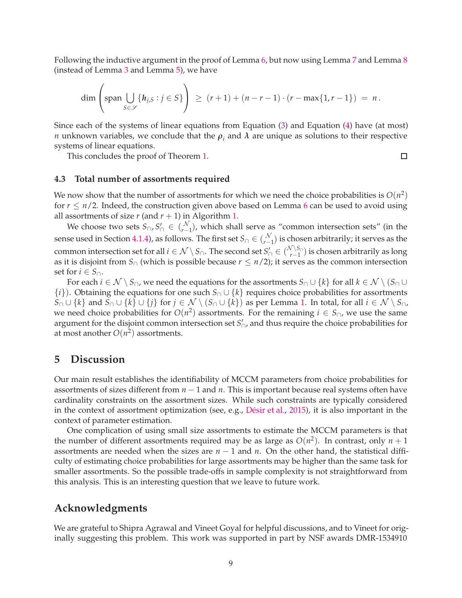Following the inductive argument in the proof of Lemma [6,](#page-6-0) but now using Lemma [7](#page-7-0) and Lemma [8](#page-7-1) (instead of Lemma [3](#page-4-2) and Lemma [5\)](#page-5-1), we have

$$
\dim \left( \text{span} \bigcup_{S \in \mathscr{S}} \{ h_{j,S} : j \in S \} \right) \, \geq \, (r+1) + (n-r-1) \cdot (r - \max\{1,r-1\}) \, = \, n \, .
$$

Since each of the systems of linear equations from Equation [\(3\)](#page-3-1) and Equation [\(4\)](#page-3-2) have (at most) *n* unknown variables, we conclude that the  $ρ_{i}$  and  $λ$  are unique as solutions to their respective systems of linear equations.

This concludes the proof of Theorem [1.](#page-2-1)

#### **4.3 Total number of assortments required**

We now show that the number of assortments for which we need the choice probabilities is  $O(n^2)$ for  $r \leq n/2$ . Indeed, the construction given above based on Lemma [6](#page-6-0) can be used to avoid using all assortments of size  $r$  (and  $r + 1$ ) in Algorithm [1.](#page-3-0)

We choose two sets  $S_{\cap}$ ,  $S'_{\cap} \in \binom{\mathcal{N}}{r-1}$  $\binom{N}{r-1}$ , which shall serve as "common intersection sets" (in the sense used in Section [4.1.4\)](#page-6-3), as follows. The first set  $S_\cap \in \big(\begin{smallmatrix} N\ \ell^- \end{smallmatrix}\big)$ *r*−1 ) is chosen arbitrarily; it serves as the common intersection set for all  $i \in \mathcal{N} \setminus S_{\cap}$ . The second set  $S'_{\cap} \in \binom{\mathcal{N} \setminus S_{\cap}}{r-1}$ *r*−1 ) is chosen arbitrarily as long as it is disjoint from  $S_{\cap}$  (which is possible because  $r \leq n/2$ ); it serves as the common intersection set for *i* ∈  $S_{\cap}$ .

For each  $i \in \mathcal{N} \setminus S_{\cap}$ , we need the equations for the assortments  $S_{\cap} \cup \{k\}$  for all  $k \in \mathcal{N} \setminus (S_{\cap} \cup$ {*i*}). Obtaining the equations for one such *S*<sup>∩</sup> ∪ {*k*} requires choice probabilities for assortments *S*∩ ∪  $\{k\}$  and *S*∩ ∪  $\{k\}$  ∪  $\{j\}$  for  $j \in \mathcal{N} \setminus (S \cap \cup \{k\})$  as per Lemma [1.](#page-2-4) In total, for all  $i \in \mathcal{N} \setminus S \cap \mathcal{N}$ we need choice probabilities for  $O(n^2)$  assortments. For the remaining  $i \in S_{\cap}$ , we use the same argument for the disjoint common intersection set *S* ′ <sup>∩</sup>, and thus require the choice probabilities for at most another  $O(n^2)$  assortments.

### <span id="page-8-0"></span>**5 Discussion**

Our main result establishes the identifiability of MCCM parameters from choice probabilities for assortments of sizes different from *n* − 1 and *n*. This is important because real systems often have cardinality constraints on the assortment sizes. While such constraints are typically considered in the context of assortment optimization (see, e.g., [Désir et al.](#page-9-5), [2015](#page-9-5)), it is also important in the context of parameter estimation.

One complication of using small size assortments to estimate the MCCM parameters is that the number of different assortments required may be as large as  $O(n^2)$ . In contrast, only  $n + 1$ assortments are needed when the sizes are *n* − 1 and *n*. On the other hand, the statistical difficulty of estimating choice probabilities for large assortments may be higher than the same task for smaller assortments. So the possible trade-offs in sample complexity is not straightforward from this analysis. This is an interesting question that we leave to future work.

## **Acknowledgments**

We are grateful to Shipra Agrawal and Vineet Goyal for helpful discussions, and to Vineet for originally suggesting this problem. This work was supported in part by NSF awards DMR-1534910

 $\Box$